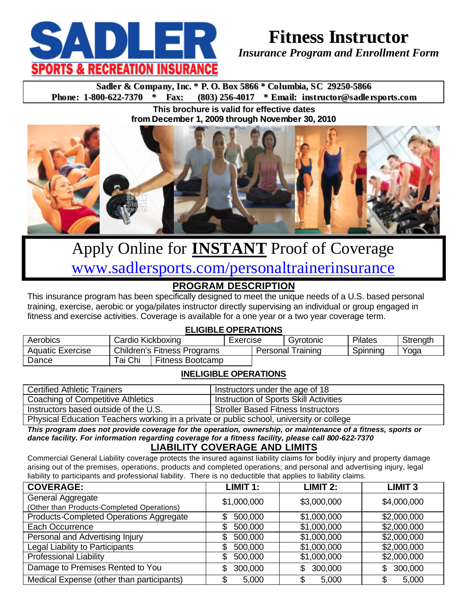

# **Fitness Instructor**

*Insurance Program and Enrollment Form*

**Sadler & Company, Inc.** \* **P. O. Box 5866** \* **Columbia, SC** 29250-5866<br>**Phone:** 1-800-622-7370 \* Fax: (803) 256-4017 \* **Email:** instructor@sadler **Phone: 1-800-622-7370 \* Fax: (803) 256-4017 \* Email: instructor@sadle rsports.com**

> **This brochure is valid for effective dates from December 1, 2009 through November 30, 2010**



# Apply Online for **INSTANT** Proof of Coverage www.sadlersports.com/personaltrainerinsurance

### **PROGRAM DESCRIPTION**

This insurance program has been specifically designed to meet the unique needs of a U.S. based personal training, exercise, aerobic or yoga/pilates instructor directly supervising an individual or group engaged in fitness and exercise activities. Coverage is available for a one year or a two year coverage term.

#### **ELIGIBLE OPERATIONS**

| Aerobics                | Cardio Kickboxing |                                    | Exercise | Gvrotonic | Pilates  | Strength |
|-------------------------|-------------------|------------------------------------|----------|-----------|----------|----------|
| <b>Aquatic Exercise</b> |                   | <b>Children's Fitness Programs</b> | Personal | ı raınınd | Spinning | Yoga     |
| Dance                   | Tai Chi           | <b>Fitness Bootcamp</b>            |          |           |          |          |

#### **INELIGIBLE OPERATIONS**

| <b>Certified Athletic Trainers</b>                                                       | Instructors under the age of 18        |
|------------------------------------------------------------------------------------------|----------------------------------------|
| Coaching of Competitive Athletics                                                        | Instruction of Sports Skill Activities |
| Instructors based outside of the U.S.                                                    | Stroller Based Fitness Instructors     |
| Physical Education Teachers working in a private or public school, university or college |                                        |

*This program does not provide coverage for the operation, ownership, or maintenance of a fitness, sports or dance facility. For information regarding coverage for a fitness facility, please call 800-622-7370*

#### **LIABILITY COVERAGE AND LIMITS**

Commercial General Liability coverage protects the insured against liability claims for bodily injury and property damage arising out of the premises, operations, products and completed operations; and personal and advertising injury, legal liability to participants and professional liability. There is no deductible that applies to liability claims.

| <b>COVERAGE:</b>                           | LIMIT 1:      | $LIMIT$ 2:    | <b>LIMIT 3</b> |
|--------------------------------------------|---------------|---------------|----------------|
| General Aggregate                          | \$1,000,000   | \$3,000,000   | \$4,000,000    |
| (Other than Products-Completed Operations) |               |               |                |
| Products-Completed Operations Aggregate    | 500,000<br>S  | \$1,000,000   | \$2,000,000    |
| Each Occurrence                            | 500,000       | \$1,000,000   | \$2,000,000    |
| Personal and Advertising Injury            | 500,000<br>\$ | \$1,000,000   | \$2,000,000    |
| Legal Liability to Participants            | 500,000<br>\$ | \$1,000,000   | \$2,000,000    |
| <b>Professional Liability</b>              | 500,000<br>\$ | \$1,000,000   | \$2,000,000    |
| Damage to Premises Rented to You           | 300,000<br>S  | 300,000<br>\$ | 300,000<br>\$. |
| Medical Expense (other than participants)  | 5,000         | 5,000         | 5,000          |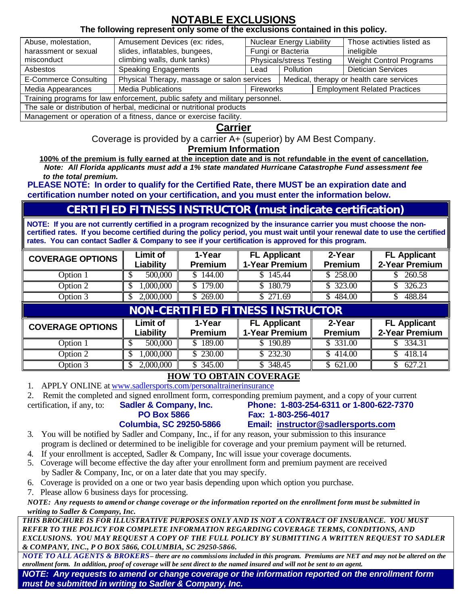## **NOTABLE EXCLUSIONS**

#### **The following represent only some of the exclusions contained in this policy.**

| Abuse, molestation,                                                          | Amusement Devices (ex: rides,                                                           |                          | <b>Nuclear Energy Liability</b> |                                     | Those activities listed as     |  |
|------------------------------------------------------------------------------|-----------------------------------------------------------------------------------------|--------------------------|---------------------------------|-------------------------------------|--------------------------------|--|
| harassment or sexual                                                         | slides, inflatables, bungees,<br>Fungi or Bacteria                                      |                          | ineligible                      |                                     |                                |  |
| misconduct                                                                   | climbing walls, dunk tanks)                                                             | Physicals/stress Testing |                                 |                                     | <b>Weight Control Programs</b> |  |
| Asbestos                                                                     | <b>Speaking Engagements</b>                                                             | Pollution<br>Lead        |                                 |                                     | <b>Dietician Services</b>      |  |
| <b>E-Commerce Consulting</b>                                                 | Physical Therapy, massage or salon services<br>Medical, therapy or health care services |                          |                                 |                                     |                                |  |
| Media Appearances                                                            | <b>Media Publications</b>                                                               | Fireworks                |                                 | <b>Employment Related Practices</b> |                                |  |
| Training programs for law enforcement, public safety and military personnel. |                                                                                         |                          |                                 |                                     |                                |  |
| The sale or distribution of herbal, medicinal or nutritional products        |                                                                                         |                          |                                 |                                     |                                |  |
| Management or operation of a fitness, dance or exercise facility.            |                                                                                         |                          |                                 |                                     |                                |  |

#### **Carrier**

Coverage is provided by a carrier A+ (superior) by AM Best Company.

#### **Premium Information**

**100% of the premium is fully earned at the inception date and is not refundable in the event of cancellation.** *Note: All Florida applicants must add a 1% state mandated Hurricane Catastrophe Fund assessment fee to the total premium.*

**PLEASE NOTE: In order to qualify for the Certified Rate, there MUST be an expiration date and certification number noted on your certification, and you must enter the information below.** 

## **CERTIFIED FITNESS INSTRUCTOR (must indicate certification)**

**NOTE: If you are not currently certified in a program recognized by the insurance carrier you must choose the noncertified rates. If you become certified during the policy period, you must wait until your renewal date to use the certified rates. You can contact Sadler & Company to see if your certification is approved for this program.**

| <b>COVERAGE OPTIONS</b> | <b>Limit of</b><br>Liability | 1-Year<br><b>Premium</b> | <b>FL Applicant</b><br>1-Year Premium   | 2-Year<br><b>Premium</b> | <b>FL Applicant</b><br>2-Year Premium |
|-------------------------|------------------------------|--------------------------|-----------------------------------------|--------------------------|---------------------------------------|
| Option 1                | 500,000                      | \$144.00                 | \$145.44                                | \$258.00                 | 260.58                                |
| Option 2                | 1,000,000<br>\$              | \$179.00                 | 180.79                                  | \$ 323.00                | 326.23                                |
| Option 3                | 2,000,000<br>$\mathbb{S}^-$  | \$269.00                 | \$271.69                                | \$484.00                 | 488.84                                |
|                         |                              |                          | <b>NON-CERTIFIED FITNESS INSTRUCTOR</b> |                          |                                       |
| <b>COVERAGE OPTIONS</b> | <b>Limit of</b><br>Liability | 1-Year<br><b>Premium</b> | <b>FL Applicant</b><br>1-Year Premium   | 2-Year<br><b>Premium</b> | <b>FL Applicant</b><br>2-Year Premium |
| Option 1                | 500,000                      | \$189.00                 | 190.89                                  | \$ 331.00                | 334.31                                |
| Option 2                | 1,000,000<br>S               | \$230.00                 | \$232.30                                | \$414.00                 | \$.<br>418.14                         |
| Option 3                | 2,000,000<br>\$.             | \$345.00                 | \$348.45                                | \$621.00                 | 627.21                                |

#### **HOW TO OBTAIN COVERAGE**

1. APPLY ONLINE at www.sadlersports.com/personaltrainerinsurance

2. Remit the completed and signed enrollment form, corresponding premium payment, and a copy of your current

certification, if any, to: **Sadler & Company, Inc. Phone: 1-803-254-6311 or 1-800-622-7370**

**PO Box 5866 Fax: 1-803-256-4017 Columbia, SC 29250-5866 Email: instructor@sadlersports.com**

- 3. You will be notified by Sadler and Company, Inc., if for any reason, your submission to this insurance program is declined or determined to be ineligible for coverage and your premium payment will be returned.
- 4. If your enrollment is accepted, Sadler & Company, Inc will issue your coverage documents.
- 5. Coverage will become effective the day after your enrollment form and premium payment are received by Sadler & Company, Inc, or on a later date that you may specify.
- 6. Coverage is provided on a one or two year basis depending upon which option you purchase.
- 7. Please allow 6 business days for processing.

*NOTE: Any requests to amend or change coverage or the information reported on the enrollment form must be submitted in writing to Sadler & Company, Inc.*

*THIS BROCHURE IS FOR ILLUSTRATIVE PURPOSES ONLY AND IS NOT A CONTRACT OF INSURANCE. YOU MUST REFER TO THE POLICY FOR COMPLETE INFORMATION REGARDING COVERAGE TERMS, CONDITIONS, AND EXCLUSIONS. YOU MAY REQUEST A COPY OF THE FULL POLICY BY SUBMITTING A WRITTEN REQUEST TO SADLER & COMPANY, INC., P O BOX 5866, COLUMBIA, SC 29250-5866.*

*NOTE TO ALL AGENTS & BROKERS– there are no commissions included in this program. Premiums are NET and may not be altered on the enrollment form. In addition, proof of coverage will be sent direct to the named insured and will not be sent to an agent.*

*NOTE: Any requests to amend or change coverage or the information reported on the enrollment form must be submitted in writing to Sadler & Company, Inc.*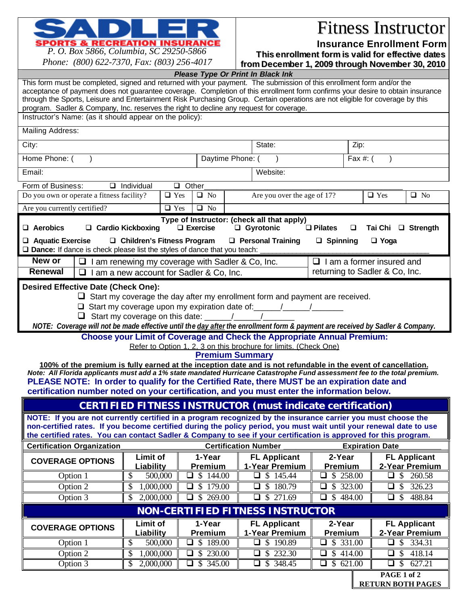

## Fitness Instructor

**Insurance Enrollment Form**

*P. O. Box 5866, Columbia, SC 29250-5866 Phone: (800) 622-7370, Fax: (803) 256-4017*

**This enrollment form is valid for effective dates from December 1, 2009 through November 30, 2010**

| 1 <i>HORE</i> , $(000)$ $022 - 7370$ , 1 a.m. $(003)$ 230 $-7017$                                                                                                                                                                                       |                                        |                                                  |                                                                                     |                                         | <u>trom becember 1, 2009 through November 30, 2010</u> |
|---------------------------------------------------------------------------------------------------------------------------------------------------------------------------------------------------------------------------------------------------------|----------------------------------------|--------------------------------------------------|-------------------------------------------------------------------------------------|-----------------------------------------|--------------------------------------------------------|
|                                                                                                                                                                                                                                                         |                                        |                                                  | Please Type Or Print In Black Ink                                                   |                                         |                                                        |
| This form must be completed, signed and returned with your payment. The submission of this enrollment form and/or the<br>acceptance of payment does not guarantee coverage. Completion of this enrollment form confirms your desire to obtain insurance |                                        |                                                  |                                                                                     |                                         |                                                        |
| through the Sports, Leisure and Entertainment Risk Purchasing Group. Certain operations are not eligible for coverage by this                                                                                                                           |                                        |                                                  |                                                                                     |                                         |                                                        |
| program. Sadler & Company, Inc. reserves the right to decline any request for coverage.                                                                                                                                                                 |                                        |                                                  |                                                                                     |                                         |                                                        |
| Instructor's Name: (as it should appear on the policy):                                                                                                                                                                                                 |                                        |                                                  |                                                                                     |                                         |                                                        |
| Mailing Address:                                                                                                                                                                                                                                        |                                        |                                                  |                                                                                     |                                         |                                                        |
| City:                                                                                                                                                                                                                                                   |                                        |                                                  | State:                                                                              | Zip:                                    |                                                        |
| Home Phone: (                                                                                                                                                                                                                                           |                                        | Daytime Phone: (                                 |                                                                                     | Fax #: (                                |                                                        |
| Email:                                                                                                                                                                                                                                                  |                                        |                                                  | Website:                                                                            |                                         |                                                        |
| Form of Business:                                                                                                                                                                                                                                       | $\Box$ Individual                      | $\Box$ Other                                     |                                                                                     |                                         |                                                        |
| Do you own or operate a fitness facility?                                                                                                                                                                                                               |                                        | $\Box$ Yes<br>$\Box$ No                          | Are you over the age of 17?                                                         |                                         | $\Box$ Yes<br>$\Box$ No                                |
| Are you currently certified?                                                                                                                                                                                                                            |                                        | $\Box$ No<br>$\Box$ Yes                          |                                                                                     |                                         |                                                        |
|                                                                                                                                                                                                                                                         |                                        |                                                  | Type of Instructor: (check all that apply)                                          |                                         |                                                        |
| $\Box$ Aerobics                                                                                                                                                                                                                                         | □ Cardio Kickboxing                    | $\Box$ Exercise                                  | □ Gyrotonic                                                                         | $\Box$ Pilates<br>□                     | $\Box$ Strength<br>Tai Chi                             |
| $\Box$ Aquatic Exercise                                                                                                                                                                                                                                 | □ Children's Fitness Program           |                                                  | $\Box$ Personal Training                                                            | $\Box$ Spinning                         | $\Box$ Yoga                                            |
| $\square$ Dance: If dance is check please list the styles of dance that you teach:                                                                                                                                                                      |                                        |                                                  |                                                                                     |                                         |                                                        |
| New or<br>⊔                                                                                                                                                                                                                                             |                                        | I am renewing my coverage with Sadler & Co, Inc. |                                                                                     | $\Box$ I am a former insured and        |                                                        |
| <b>Renewal</b>                                                                                                                                                                                                                                          |                                        | $\Box$ I am a new account for Sadler & Co, Inc.  |                                                                                     | returning to Sadler & Co, Inc.          |                                                        |
| <b>Desired Effective Date (Check One):</b>                                                                                                                                                                                                              |                                        |                                                  |                                                                                     |                                         |                                                        |
|                                                                                                                                                                                                                                                         |                                        |                                                  | $\Box$ Start my coverage the day after my enrollment form and payment are received. |                                         |                                                        |
|                                                                                                                                                                                                                                                         |                                        |                                                  |                                                                                     |                                         |                                                        |
|                                                                                                                                                                                                                                                         | $\Box$ Start my coverage on this date: |                                                  |                                                                                     |                                         |                                                        |
| NOTE: Coverage will not be made effective until the day after the enrollment form & payment are received by Sadler & Company.                                                                                                                           |                                        |                                                  |                                                                                     |                                         |                                                        |
|                                                                                                                                                                                                                                                         |                                        |                                                  | <b>Choose your Limit of Coverage and Check the Appropriate Annual Premium:</b>      |                                         |                                                        |
|                                                                                                                                                                                                                                                         |                                        |                                                  | Refer to Option 1, 2, 3 on this brochure for limits. (Check One)                    |                                         |                                                        |
|                                                                                                                                                                                                                                                         |                                        |                                                  | <b>Premium Summary</b>                                                              |                                         |                                                        |
| 100% of the premium is fully earned at the inception date and is not refundable in the event of cancellation.<br>Note: All Florida applicants must add a 1% state mandated Hurricane Catastrophe Fund assessment fee to the total premium.              |                                        |                                                  |                                                                                     |                                         |                                                        |
| PLEASE NOTE: In order to qualify for the Certified Rate, there MUST be an expiration date and                                                                                                                                                           |                                        |                                                  |                                                                                     |                                         |                                                        |
| certification number noted on your certification, and you must enter the information below.                                                                                                                                                             |                                        |                                                  |                                                                                     |                                         |                                                        |
| CERTIFIED FITNESS INSTRUCTOR (must indicate certification)                                                                                                                                                                                              |                                        |                                                  |                                                                                     |                                         |                                                        |
| NOTE: If you are not currently certified in a program recognized by the insurance carrier you must choose the                                                                                                                                           |                                        |                                                  |                                                                                     |                                         |                                                        |
| non-certified rates. If you become certified during the policy period, you must wait until your renewal date to use                                                                                                                                     |                                        |                                                  |                                                                                     |                                         |                                                        |
| the certified rates. You can contact Sadler & Company to see if your certification is approved for this program.<br><b>Certification Number</b><br><b>Expiration Date</b>                                                                               |                                        |                                                  |                                                                                     |                                         |                                                        |
| <b>Certification Organization</b>                                                                                                                                                                                                                       |                                        |                                                  |                                                                                     |                                         |                                                        |
| <b>COVERAGE OPTIONS</b>                                                                                                                                                                                                                                 | <b>Limit of</b><br>Liability           | 1-Year<br>Premium                                | <b>FL Applicant</b><br>1-Year Premium                                               | 2-Year<br>Premium                       | <b>FL Applicant</b><br>2-Year Premium                  |
| Option 1                                                                                                                                                                                                                                                | \$<br>500,000                          | \$144.00<br>$\Box$                               | \$145.44<br>❏                                                                       | \$<br>258.00<br>⊔                       | $\overline{\mathcal{S}}$<br>260.58<br>u                |
| Option 2                                                                                                                                                                                                                                                | 1,000,000<br>\$                        | \$179.00<br>❏                                    | $\overline{\mathcal{S}}$<br>180.79<br>❏                                             | $\overline{\mathcal{S}}$<br>323.00<br>⊔ | 326.23<br><sup>\$</sup><br>❏                           |
| Option 3                                                                                                                                                                                                                                                | 2,000,000<br>\$                        | \$269.00<br>$\Box$                               | $\Box$ \$ 271.69                                                                    | \$484.00<br>◻                           | $\Box$ s<br>488.84                                     |
|                                                                                                                                                                                                                                                         |                                        |                                                  | <b>NON-CERTIFIED FITNESS INSTRUCTOR</b>                                             |                                         |                                                        |
| <b>COVERAGE OPTIONS</b>                                                                                                                                                                                                                                 | Limit of                               | 1-Year                                           | <b>FL Applicant</b>                                                                 | 2-Year                                  | <b>FL Applicant</b>                                    |
|                                                                                                                                                                                                                                                         | Liability                              | <b>Premium</b>                                   | 1-Year Premium                                                                      | Premium                                 | 2-Year Premium                                         |
| Option 1                                                                                                                                                                                                                                                | \$<br>500,000                          | \$189.00<br>⊔                                    | \$190.89<br>⊔                                                                       | \$331.00<br>ப                           | \$<br>334.31<br>⊔                                      |
| Option 2                                                                                                                                                                                                                                                | \$<br>1,000,000                        | \$230.00<br>$\Box$                               | \$232.30<br>$\Box$                                                                  | $\overline{$}$ 414.00<br>❏              | $\overline{\mathcal{S}}$<br>418.14<br>❏                |
| Option 3                                                                                                                                                                                                                                                | \$<br>2,000,000                        | \$345.00<br>❏                                    | \$348.45<br>$\Box$                                                                  | \$621.00<br>❏                           | $\overline{\mathcal{S}}$<br>627.21<br>$\Box$           |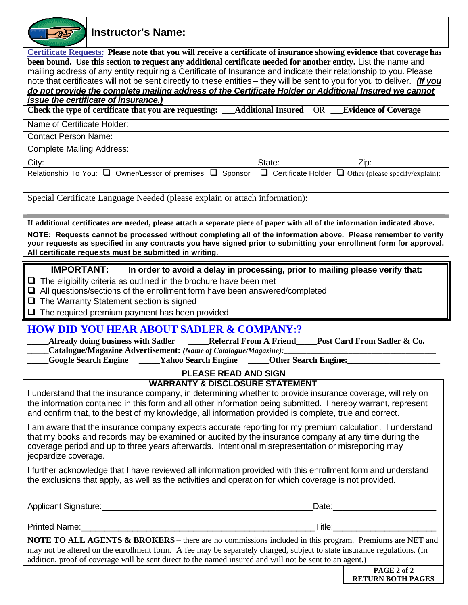| <b>Instructor's Name:</b>                                                                                                                                                                                                                                                                                                                                                                                                                                                                                                                                                                                                                  |
|--------------------------------------------------------------------------------------------------------------------------------------------------------------------------------------------------------------------------------------------------------------------------------------------------------------------------------------------------------------------------------------------------------------------------------------------------------------------------------------------------------------------------------------------------------------------------------------------------------------------------------------------|
| Certificate Requests: Please note that you will receive a certificate of insurance showing evidence that coverage has<br>been bound. Use this section to request any additional certificate needed for another entity. List the name and<br>mailing address of any entity requiring a Certificate of Insurance and indicate their relationship to you. Please<br>note that certificates will not be sent directly to these entities - they will be sent to you for you to deliver. (If you<br>do not provide the complete mailing address of the Certificate Holder or Additional Insured we cannot<br>issue the certificate of insurance. |
| Check the type of certificate that you are requesting: Additional Insured OR Evidence of Coverage                                                                                                                                                                                                                                                                                                                                                                                                                                                                                                                                          |
| Name of Certificate Holder:                                                                                                                                                                                                                                                                                                                                                                                                                                                                                                                                                                                                                |
| <b>Contact Person Name:</b>                                                                                                                                                                                                                                                                                                                                                                                                                                                                                                                                                                                                                |
| <b>Complete Mailing Address:</b>                                                                                                                                                                                                                                                                                                                                                                                                                                                                                                                                                                                                           |
| City:<br>State:<br>Zip:<br>Relationship To You: $\Box$ Owner/Lessor of premises $\Box$ Sponsor $\Box$ Certificate Holder $\Box$ Other (please specify/explain):                                                                                                                                                                                                                                                                                                                                                                                                                                                                            |
| Special Certificate Language Needed (please explain or attach information):                                                                                                                                                                                                                                                                                                                                                                                                                                                                                                                                                                |
| If additional certificates are needed, please attach a separate piece of paper with all of the information indicated above.                                                                                                                                                                                                                                                                                                                                                                                                                                                                                                                |
| NOTE: Requests cannot be processed without completing all of the information above. Please remember to verify<br>your requests as specified in any contracts you have signed prior to submitting your enrollment form for approval.<br>All certificate requests must be submitted in writing.                                                                                                                                                                                                                                                                                                                                              |
| <b>IMPORTANT:</b><br>In order to avoid a delay in processing, prior to mailing please verify that:                                                                                                                                                                                                                                                                                                                                                                                                                                                                                                                                         |
| $\Box$ The eligibility criteria as outlined in the brochure have been met<br>All questions/sections of the enrollment form have been answered/completed<br>The Warranty Statement section is signed<br>$\Box$<br>The required premium payment has been provided<br>□                                                                                                                                                                                                                                                                                                                                                                       |
| <b>HOW DID YOU HEAR ABOUT SADLER &amp; COMPANY:?</b><br><b>Already doing business with Sadler</b><br>Post Card From Sadler & Co.<br><b>Referral From A Friend</b><br>Catalogue/Magazine Advertisement: (Name of Catalogue/Magazine):<br><b>Google Search Engine ______Yahoo Search Engine</b><br><b>_Other Search Engine:</b>                                                                                                                                                                                                                                                                                                              |
| <b>PLEASE READ AND SIGN</b>                                                                                                                                                                                                                                                                                                                                                                                                                                                                                                                                                                                                                |
| <b>WARRANTY &amp; DISCLOSURE STATEMENT</b><br>I understand that the insurance company, in determining whether to provide insurance coverage, will rely on<br>the information contained in this form and all other information being submitted. I hereby warrant, represent<br>and confirm that, to the best of my knowledge, all information provided is complete, true and correct.                                                                                                                                                                                                                                                       |
| I am aware that the insurance company expects accurate reporting for my premium calculation. I understand<br>that my books and records may be examined or audited by the insurance company at any time during the<br>coverage period and up to three years afterwards. Intentional misrepresentation or misreporting may<br>jeopardize coverage.                                                                                                                                                                                                                                                                                           |
| I further acknowledge that I have reviewed all information provided with this enrollment form and understand<br>the exclusions that apply, as well as the activities and operation for which coverage is not provided.                                                                                                                                                                                                                                                                                                                                                                                                                     |
| Date: Date:                                                                                                                                                                                                                                                                                                                                                                                                                                                                                                                                                                                                                                |
| $\begin{tabular}{c} Title: & \hspace{1.5cm} \textbf{Title:} \hspace{1.5cm} \textbf{Output} \end{tabular}$                                                                                                                                                                                                                                                                                                                                                                                                                                                                                                                                  |
| NOTE TO ALL AGENTS & BROKERS - there are no commissions included in this program. Premiums are NET and<br>may not be altered on the enrollment form. A fee may be separately charged, subject to state insurance regulations. (In<br>addition, proof of coverage will be sent direct to the named insured and will not be sent to an agent.)                                                                                                                                                                                                                                                                                               |